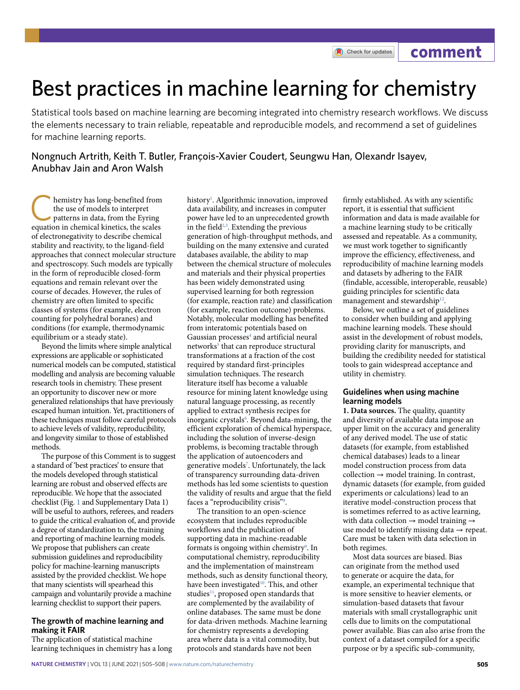**comment**

# Best practices in machine learning for chemistry

Statistical tools based on machine learning are becoming integrated into chemistry research workflows. We discuss the elements necessary to train reliable, repeatable and reproducible models, and recommend a set of guidelines for machine learning reports.

Nongnuch Artrith, Keith T. Butler, François-Xavier Coudert, Seungwu Han, Olexandr Isayev, Anubhav Jain and Aron Walsh

hemistry has long-benefited from the use of models to interpret patterns in data, from the Eyring equation in chemical kinetics, the scales of electronegativity to describe chemical stability and reactivity, to the ligand-field approaches that connect molecular structure and spectroscopy. Such models are typically in the form of reproducible closed-form equations and remain relevant over the course of decades. However, the rules of chemistry are often limited to specific classes of systems (for example, electron counting for polyhedral boranes) and conditions (for example, thermodynamic equilibrium or a steady state).

Beyond the limits where simple analytical expressions are applicable or sophisticated numerical models can be computed, statistical modelling and analysis are becoming valuable research tools in chemistry. These present an opportunity to discover new or more generalized relationships that have previously escaped human intuition. Yet, practitioners of these techniques must follow careful protocols to achieve levels of validity, reproducibility, and longevity similar to those of established methods.

The purpose of this Comment is to suggest a standard of 'best practices' to ensure that the models developed through statistical learning are robust and observed effects are reproducible. We hope that the associated checklist (Fig. [1](#page-1-0) and Supplementary Data 1) will be useful to authors, referees, and readers to guide the critical evaluation of, and provide a degree of standardization to, the training and reporting of machine learning models. We propose that publishers can create submission guidelines and reproducibility policy for machine-learning manuscripts assisted by the provided checklist. We hope that many scientists will spearhead this campaign and voluntarily provide a machine learning checklist to support their papers.

# **The growth of machine learning and making it FAIR**

The application of statistical machine learning techniques in chemistry has a long

history<sup>[1](#page-3-0)</sup>. Algorithmic innovation, improved data availability, and increases in computer power have led to an unprecedented growth in the field<sup>[2](#page-3-1)[,3](#page-3-2)</sup>. Extending the previous generation of high-throughput methods, and building on the many extensive and curated databases available, the ability to map between the chemical structure of molecules and materials and their physical properties has been widely demonstrated using supervised learning for both regression (for example, reaction rate) and classification (for example, reaction outcome) problems. Notably, molecular modelling has benefited from interatomic potentials based on Gaussian processes<sup>4</sup> and artificial neural networks<sup>[5](#page-3-4)</sup> that can reproduce structural transformations at a fraction of the cost required by standard first-principles simulation techniques. The research literature itself has become a valuable resource for mining latent knowledge using natural language processing, as recently applied to extract synthesis recipes for inorganic crystals<sup>[6](#page-3-5)</sup>. Beyond data-mining, the efficient exploration of chemical hyperspace, including the solution of inverse-design problems, is becoming tractable through the application of autoencoders and generative models<sup>[7](#page-3-6)</sup>. Unfortunately, the lack of transparency surrounding data-driven methods has led some scientists to question the validity of results and argue that the field faces a "reproducibility crisis"<sup>8</sup>.

The transition to an open-science ecosystem that includes reproducible workflows and the publication of supporting data in machine-readable formats is ongoing within chemistry<sup>9</sup>. In computational chemistry, reproducibility and the implementation of mainstream methods, such as density functional theory, have been investigated<sup>10</sup>. This, and other studies<sup>11</sup>, proposed open standards that are complemented by the availability of online databases. The same must be done for data-driven methods. Machine learning for chemistry represents a developing area where data is a vital commodity, but protocols and standards have not been

firmly established. As with any scientific report, it is essential that sufficient information and data is made available for a machine learning study to be critically assessed and repeatable. As a community, we must work together to significantly improve the efficiency, effectiveness, and reproducibility of machine learning models and datasets by adhering to the FAIR (findable, accessible, interoperable, reusable) guiding principles for scientific data management and stewardship<sup>12</sup>.

Below, we outline a set of guidelines to consider when building and applying machine learning models. These should assist in the development of robust models, providing clarity for manuscripts, and building the credibility needed for statistical tools to gain widespread acceptance and utility in chemistry.

# **Guidelines when using machine learning models**

**1. Data sources.** The quality, quantity and diversity of available data impose an upper limit on the accuracy and generality of any derived model. The use of static datasets (for example, from established chemical databases) leads to a linear model construction process from data  $collection \rightarrow model$  training. In contrast, dynamic datasets (for example, from guided experiments or calculations) lead to an iterative model-construction process that is sometimes referred to as active learning, with data collection  $\rightarrow$  model training  $\rightarrow$ use model to identify missing data  $\rightarrow$  repeat. Care must be taken with data selection in both regimes.

Most data sources are biased. Bias can originate from the method used to generate or acquire the data, for example, an experimental technique that is more sensitive to heavier elements, or simulation-based datasets that favour materials with small crystallographic unit cells due to limits on the computational power available. Bias can also arise from the context of a dataset compiled for a specific purpose or by a specific sub-community,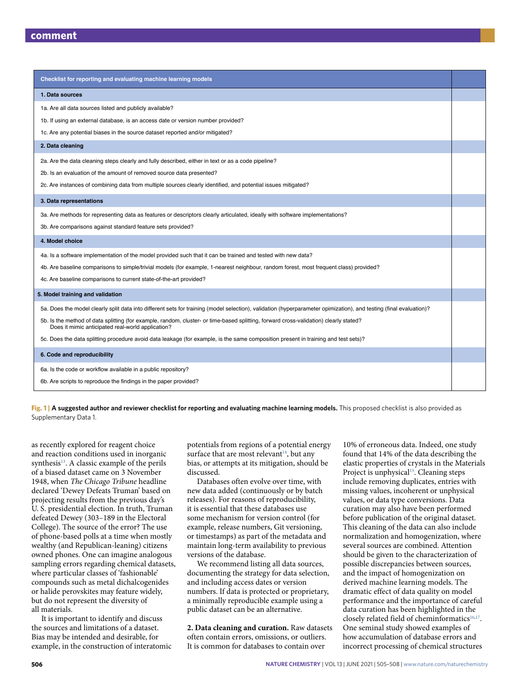| Checklist for reporting and evaluating machine learning models                                                                                                                             |  |
|--------------------------------------------------------------------------------------------------------------------------------------------------------------------------------------------|--|
| 1. Data sources                                                                                                                                                                            |  |
| 1a. Are all data sources listed and publicly available?                                                                                                                                    |  |
| 1b. If using an external database, is an access date or version number provided?                                                                                                           |  |
| 1c. Are any potential biases in the source dataset reported and/or mitigated?                                                                                                              |  |
| 2. Data cleaning                                                                                                                                                                           |  |
| 2a. Are the data cleaning steps clearly and fully described, either in text or as a code pipeline?                                                                                         |  |
| 2b. Is an evaluation of the amount of removed source data presented?                                                                                                                       |  |
| 2c. Are instances of combining data from multiple sources clearly identified, and potential issues mitigated?                                                                              |  |
| 3. Data representations                                                                                                                                                                    |  |
| 3a. Are methods for representing data as features or descriptors clearly articulated, ideally with software implementations?                                                               |  |
| 3b. Are comparisons against standard feature sets provided?                                                                                                                                |  |
| 4. Model choice                                                                                                                                                                            |  |
| 4a. Is a software implementation of the model provided such that it can be trained and tested with new data?                                                                               |  |
| 4b. Are baseline comparisons to simple/trivial models (for example, 1-nearest neighbour, random forest, most frequent class) provided?                                                     |  |
| 4c. Are baseline comparisons to current state-of-the-art provided?                                                                                                                         |  |
| 5. Model training and validation                                                                                                                                                           |  |
| 5a. Does the model clearly split data into different sets for training (model selection), validation (hyperparameter opimization), and testing (final evaluation)?                         |  |
| 5b. Is the method of data splitting (for example, random, cluster- or time-based splitting, forward cross-validation) clearly stated?<br>Does it mimic anticipated real-world application? |  |
| 5c. Does the data splitting procedure avoid data leakage (for example, is the same composition present in training and test sets)?                                                         |  |
| 6. Code and reproducibility                                                                                                                                                                |  |
| 6a. Is the code or workflow available in a public repository?                                                                                                                              |  |
| 6b. Are scripts to reproduce the findings in the paper provided?                                                                                                                           |  |

<span id="page-1-0"></span>**Fig. 1 | A suggested author and reviewer checklist for reporting and evaluating machine learning models.** This proposed checklist is also provided as Supplementary Data 1.

as recently explored for reagent choice and reaction conditions used in inorganic synthesis<sup>13</sup>. A classic example of the perils of a biased dataset came on 3 November 1948, when *The Chicago Tribune* headline declared 'Dewey Defeats Truman' based on projecting results from the previous day's U. S. presidential election. In truth, Truman defeated Dewey (303–189 in the Electoral College). The source of the error? The use of phone-based polls at a time when mostly wealthy (and Republican-leaning) citizens owned phones. One can imagine analogous sampling errors regarding chemical datasets, where particular classes of 'fashionable' compounds such as metal dichalcogenides or halide perovskites may feature widely, but do not represent the diversity of all materials.

It is important to identify and discuss the sources and limitations of a dataset. Bias may be intended and desirable, for example, in the construction of interatomic potentials from regions of a potential energy surface that are most relevant $14$ , but any bias, or attempts at its mitigation, should be discussed.

Databases often evolve over time, with new data added (continuously or by batch releases). For reasons of reproducibility, it is essential that these databases use some mechanism for version control (for example, release numbers, Git versioning, or timestamps) as part of the metadata and maintain long-term availability to previous versions of the database.

We recommend listing all data sources, documenting the strategy for data selection, and including access dates or version numbers. If data is protected or proprietary, a minimally reproducible example using a public dataset can be an alternative.

**2. Data cleaning and curation.** Raw datasets often contain errors, omissions, or outliers. It is common for databases to contain over

10% of erroneous data. Indeed, one study found that 14% of the data describing the elastic properties of crystals in the Materials Project is unphysical<sup>15</sup>. Cleaning steps include removing duplicates, entries with missing values, incoherent or unphysical values, or data type conversions. Data curation may also have been performed before publication of the original dataset. This cleaning of the data can also include normalization and homogenization, where several sources are combined. Attention should be given to the characterization of possible discrepancies between sources, and the impact of homogenization on derived machine learning models. The dramatic effect of data quality on model performance and the importance of careful data curation has been highlighted in the closely related field of cheminformatics<sup>16,17</sup>. One seminal study showed examples of how accumulation of database errors and incorrect processing of chemical structures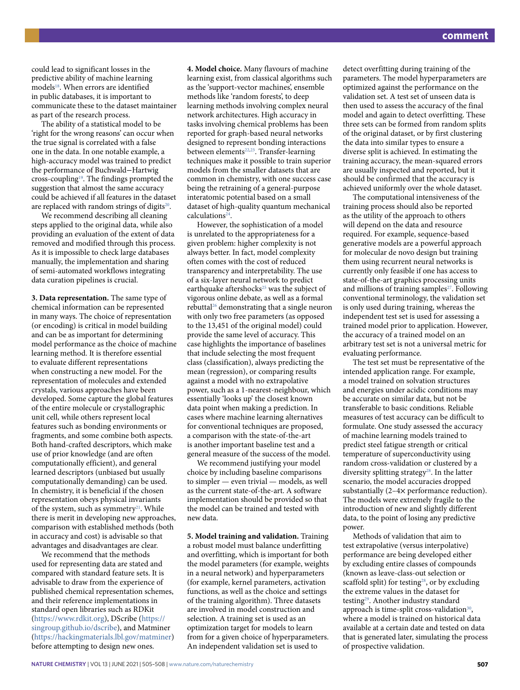could lead to significant losses in the predictive ability of machine learning models<sup>[18](#page-3-17)</sup>. When errors are identified in public databases, it is important to communicate these to the dataset maintainer as part of the research process.

The ability of a statistical model to be 'right for the wrong reasons' can occur when the true signal is correlated with a false one in the data. In one notable example, a high-accuracy model was trained to predict the performance of Buchwald−Hartwig cross-couplin[g19](#page-3-18). The findings prompted the suggestion that almost the same accuracy could be achieved if all features in the dataset are replaced with random strings of digits $20$ .

We recommend describing all cleaning steps applied to the original data, while also providing an evaluation of the extent of data removed and modified through this process. As it is impossible to check large databases manually, the implementation and sharing of semi-automated workflows integrating data curation pipelines is crucial.

**3. Data representation.** The same type of chemical information can be represented in many ways. The choice of representation (or encoding) is critical in model building and can be as important for determining model performance as the choice of machine learning method. It is therefore essential to evaluate different representations when constructing a new model. For the representation of molecules and extended crystals, various approaches have been developed. Some capture the global features of the entire molecule or crystallographic unit cell, while others represent local features such as bonding environments or fragments, and some combine both aspects. Both hand-crafted descriptors, which make use of prior knowledge (and are often computationally efficient), and general learned descriptors (unbiased but usually computationally demanding) can be used. In chemistry, it is beneficial if the chosen representation obeys physical invariants of the system, such as symmetry<sup>21</sup>. While there is merit in developing new approaches, comparison with established methods (both in accuracy and cost) is advisable so that advantages and disadvantages are clear.

We recommend that the methods used for representing data are stated and compared with standard feature sets. It is advisable to draw from the experience of published chemical representation schemes, and their reference implementations in standard open libraries such as RDKit [\(https://www.rdkit.org](https://www.rdkit.org)), DScribe [\(https://](https://singroup.github.io/dscribe) [singroup.github.io/dscribe](https://singroup.github.io/dscribe)), and Matminer [\(https://hackingmaterials.lbl.gov/matminer](https://hackingmaterials.lbl.gov/matminer)) before attempting to design new ones.

**4. Model choice.** Many flavours of machine learning exist, from classical algorithms such as the 'support-vector machines', ensemble methods like 'random forests', to deep learning methods involving complex neural network architectures. High accuracy in tasks involving chemical problems has been reported for graph-based neural networks designed to represent bonding interactions between elements<sup>22,[23](#page-3-22)</sup>. Transfer-learning techniques make it possible to train superior models from the smaller datasets that are common in chemistry, with one success case being the retraining of a general-purpose interatomic potential based on a small dataset of high-quality quantum mechanical calculations<sup>24</sup>.

However, the sophistication of a model is unrelated to the appropriateness for a given problem: higher complexity is not always better. In fact, model complexity often comes with the cost of reduced transparency and interpretability. The use of a six-layer neural network to predict earthquake aftershocks<sup>25</sup> was the subject of vigorous online debate, as well as a formal rebutta[l26](#page-3-25) demonstrating that a single neuron with only two free parameters (as opposed to the 13,451 of the original model) could provide the same level of accuracy. This case highlights the importance of baselines that include selecting the most frequent class (classification), always predicting the mean (regression), or comparing results against a model with no extrapolative power, such as a 1-nearest-neighbour, which essentially 'looks up' the closest known data point when making a prediction. In cases where machine learning alternatives for conventional techniques are proposed, a comparison with the state-of-the-art is another important baseline test and a general measure of the success of the model.

We recommend justifying your model choice by including baseline comparisons to simpler — even trivial — models, as well as the current state-of-the-art. A software implementation should be provided so that the model can be trained and tested with new data.

**5. Model training and validation.** Training a robust model must balance underfitting and overfitting, which is important for both the model parameters (for example, weights in a neural network) and hyperparameters (for example, kernel parameters, activation functions, as well as the choice and settings of the training algorithm). Three datasets are involved in model construction and selection. A training set is used as an optimization target for models to learn from for a given choice of hyperparameters. An independent validation set is used to

detect overfitting during training of the parameters. The model hyperparameters are optimized against the performance on the validation set. A test set of unseen data is then used to assess the accuracy of the final model and again to detect overfitting. These three sets can be formed from random splits of the original dataset, or by first clustering the data into similar types to ensure a diverse split is achieved. In estimating the training accuracy, the mean-squared errors are usually inspected and reported, but it should be confirmed that the accuracy is achieved uniformly over the whole dataset.

The computational intensiveness of the training process should also be reported as the utility of the approach to others will depend on the data and resource required. For example, sequence-based generative models are a powerful approach for molecular de novo design but training them using recurrent neural networks is currently only feasible if one has access to state-of-the-art graphics processing units and millions of training samples<sup>27</sup>. Following conventional terminology, the validation set is only used during training, whereas the independent test set is used for assessing a trained model prior to application. However, the accuracy of a trained model on an arbitrary test set is not a universal metric for evaluating performance.

The test set must be representative of the intended application range. For example, a model trained on solvation structures and energies under acidic conditions may be accurate on similar data, but not be transferable to basic conditions. Reliable measures of test accuracy can be difficult to formulate. One study assessed the accuracy of machine learning models trained to predict steel fatigue strength or critical temperature of superconductivity using random cross-validation or clustered by a diversity splitting strategy<sup>28</sup>. In the latter scenario, the model accuracies dropped substantially (2–4× performance reduction). The models were extremely fragile to the introduction of new and slightly different data, to the point of losing any predictive power.

Methods of validation that aim to test extrapolative (versus interpolative) performance are being developed either by excluding entire classes of compounds (known as leave-class-out selection or scaffold split) for testing<sup>28</sup>, or by excluding the extreme values in the dataset for testing[29.](#page-3-28) Another industry standard approach is time-split cross-validation<sup>[30](#page-3-29)</sup>, where a model is trained on historical data available at a certain date and tested on data that is generated later, simulating the process of prospective validation.